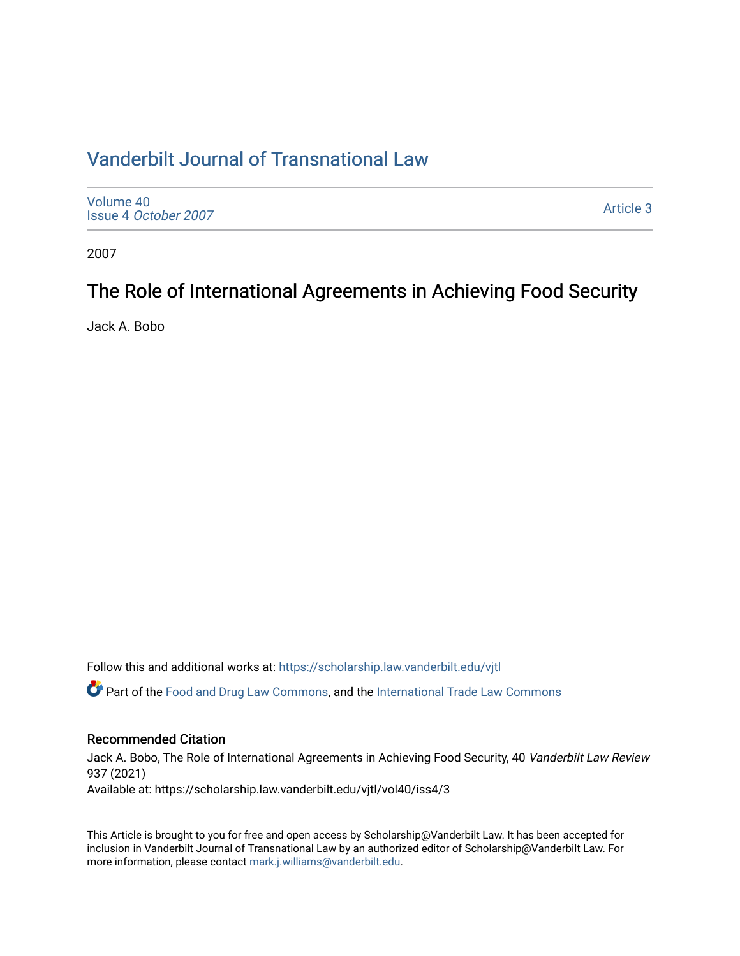# [Vanderbilt Journal of Transnational Law](https://scholarship.law.vanderbilt.edu/vjtl)

| Volume 40<br>Issue 4 October 2007 | <b>Article 3</b> |
|-----------------------------------|------------------|
|-----------------------------------|------------------|

2007

# The Role of International Agreements in Achieving Food Security

Jack A. Bobo

Follow this and additional works at: [https://scholarship.law.vanderbilt.edu/vjtl](https://scholarship.law.vanderbilt.edu/vjtl?utm_source=scholarship.law.vanderbilt.edu%2Fvjtl%2Fvol40%2Fiss4%2F3&utm_medium=PDF&utm_campaign=PDFCoverPages) 

Part of the [Food and Drug Law Commons,](http://network.bepress.com/hgg/discipline/844?utm_source=scholarship.law.vanderbilt.edu%2Fvjtl%2Fvol40%2Fiss4%2F3&utm_medium=PDF&utm_campaign=PDFCoverPages) and the [International Trade Law Commons](http://network.bepress.com/hgg/discipline/848?utm_source=scholarship.law.vanderbilt.edu%2Fvjtl%2Fvol40%2Fiss4%2F3&utm_medium=PDF&utm_campaign=PDFCoverPages) 

## Recommended Citation

Jack A. Bobo, The Role of International Agreements in Achieving Food Security, 40 Vanderbilt Law Review 937 (2021)

Available at: https://scholarship.law.vanderbilt.edu/vjtl/vol40/iss4/3

This Article is brought to you for free and open access by Scholarship@Vanderbilt Law. It has been accepted for inclusion in Vanderbilt Journal of Transnational Law by an authorized editor of Scholarship@Vanderbilt Law. For more information, please contact [mark.j.williams@vanderbilt.edu](mailto:mark.j.williams@vanderbilt.edu).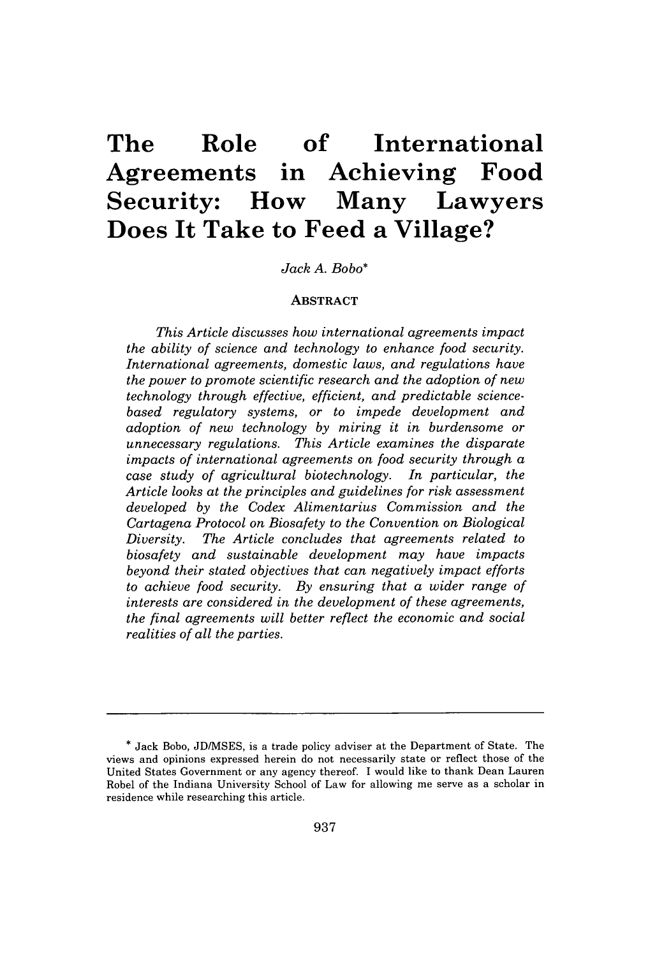# **The Role of International Agreements in Achieving Food Security: How Many Lawyers Does It Take to Feed a Village?**

## *Jack A. Bobo\**

## **ABSTRACT**

*This Article discusses how international agreements impact the ability of science and technology to enhance food security. International agreements, domestic laws, and regulations have the power to promote scientific research and the adoption of new technology through effective, efficient, and predictable sciencebased regulatory systems, or to impede development and adoption of new technology by miring it in burdensome or unnecessary regulations. This Article examines the disparate impacts of international agreements on food security through a case study of agricultural biotechnology. In particular, the Article looks at the principles and guidelines for risk assessment developed by the Codex Alimentarius Commission and the Cartagena Protocol on Biosafety to the Convention on Biological Diversity. The Article concludes that agreements related to biosafety and sustainable development may have impacts beyond their stated objectives that can negatively impact efforts to achieve food security. By ensuring that a wider range of interests are considered in the development of these agreements, the final agreements will better reflect the economic and social realities of all the parties.*

<sup>\*</sup> Jack Bobo, JD/MSES, is a trade policy adviser at the Department of State. The views and opinions expressed herein do not necessarily state or reflect those of the United States Government or any agency thereof. I would like to thank Dean Lauren Robel of the Indiana University School of Law for allowing me serve as a scholar in residence while researching this article.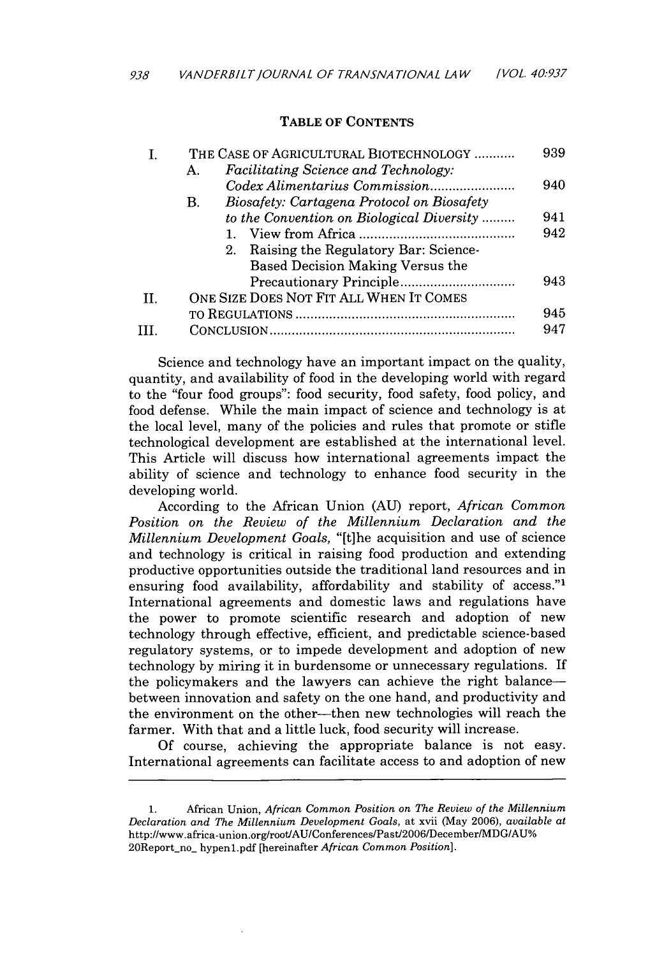## TABLE OF **CONTENTS**

|    |    | THE CASE OF AGRICULTURAL BIOTECHNOLOGY     | 939 |
|----|----|--------------------------------------------|-----|
|    | Α. | Facilitating Science and Technology:       |     |
|    |    |                                            | 940 |
|    | В. | Biosafety: Cartagena Protocol on Biosafety |     |
|    |    | to the Convention on Biological Diversity  | 941 |
|    |    |                                            | 942 |
|    |    | 2. Raising the Regulatory Bar: Science-    |     |
|    |    | Based Decision Making Versus the           |     |
|    |    |                                            | 943 |
| П. |    | ONE SIZE DOES NOT FIT ALL WHEN IT COMES    |     |
|    |    |                                            | 945 |
| ш  |    |                                            | 947 |
|    |    |                                            |     |

Science and technology have an important impact on the quality, quantity, and availability of food in the developing world with regard to the "four food groups": food security, food safety, food policy, and food defense. While the main impact of science and technology is at the local level, many of the policies and rules that promote or stifle technological development are established at the international level. This Article will discuss how international agreements impact the ability of science and technology to enhance food security in the developing world.

According to the African Union **(AU)** report, *African Common Position on the Review of the Millennium Declaration and the Millennium Development Goals,* "[t]he acquisition and use of science and technology is critical in raising food production and extending productive opportunities outside the traditional land resources and in ensuring food availability, affordability and stability of access."<sup>1</sup> International agreements and domestic laws and regulations have the power to promote scientific research and adoption of new technology through effective, efficient, and predictable science-based regulatory systems, or to impede development and adoption of new technology **by** miring it in burdensome or unnecessary regulations. If the policymakers and the lawyers can achieve the right balancebetween innovation and safety on the one hand, and productivity and the environment on the other-then new technologies will reach the farmer. With that and a little luck, food security will increase.

**Of** course, achieving the appropriate balance is not easy. International agreements can facilitate access to and adoption of new

**<sup>1.</sup>** African Union, *African Common Position on The Review of the Millennium Declaration and The Millennium Development Goals,* at xvii (May **2006),** *available at* http://www.africa-union.org/root/AU/Conferences/Past/2006/December/MDG/AU% 20Report-no\_ hypenl.pdf [hereinafter *African Common Position].*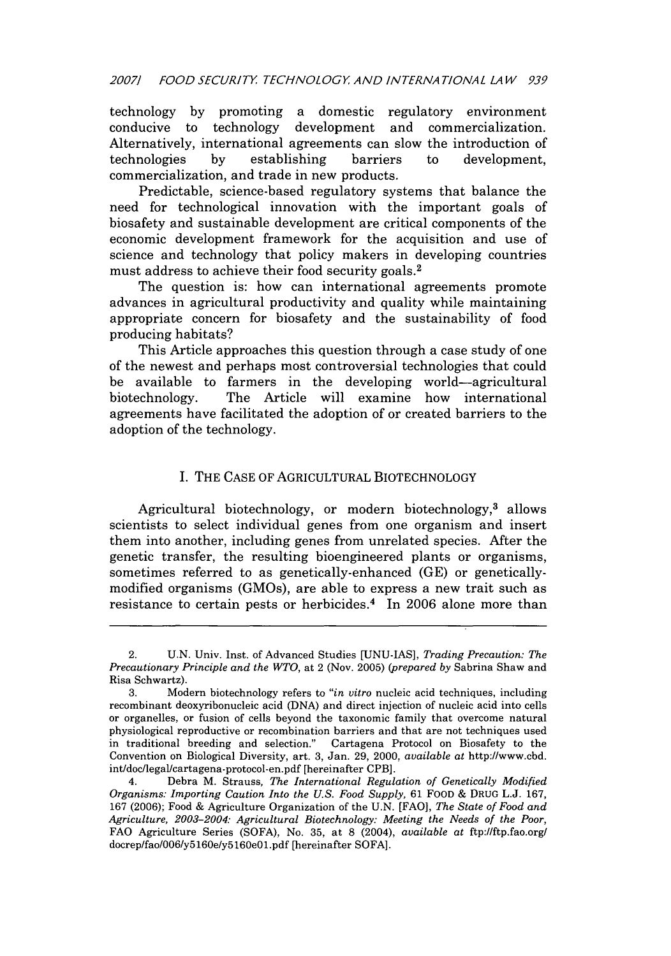technology by promoting a domestic regulatory environment conducive to technology development and commercialization. Alternatively, international agreements can slow the introduction of technologies by establishing barriers to development. technologies by establishing barriers to development, commercialization, and trade in new products.

Predictable, science-based regulatory systems that balance the need for technological innovation with the important goals of biosafety and sustainable development are critical components of the economic development framework for the acquisition and use of science and technology that policy makers in developing countries must address to achieve their food security goals.<sup>2</sup>

The question is: how can international agreements promote advances in agricultural productivity and quality while maintaining appropriate concern for biosafety and the sustainability of food producing habitats?

This Article approaches this question through a case study of one of the newest and perhaps most controversial technologies that could be available to farmers in the developing world-agricultural biotechnology. The Article will examine how international agreements have facilitated the adoption of or created barriers to the adoption of the technology.

## I. THE CASE OF AGRICULTURAL BIOTECHNOLOGY

Agricultural biotechnology, or modern biotechnology,<sup>3</sup> allows scientists to select individual genes from one organism and insert them into another, including genes from unrelated species. After the genetic transfer, the resulting bioengineered plants or organisms, sometimes referred to as genetically-enhanced (GE) or geneticallymodified organisms (GMOs), are able to express a new trait such as resistance to certain pests or herbicides.<sup>4</sup> In 2006 alone more than

<sup>2.</sup> U.N. Univ. Inst. of Advanced Studies [UNU-IAS], *Trading Precaution: The Precautionary Principle and the WTO,* at 2 (Nov. 2005) *(prepared by* Sabrina Shaw and Risa Schwartz).

<sup>3.</sup> Modern biotechnology refers to *"in vitro* nucleic acid techniques, including recombinant deoxyribonucleic acid (DNA) and direct injection of nucleic acid into cells or organelles, or fusion of cells beyond the taxonomic family that overcome natural physiological reproductive or recombination barriers and that are not techniques used in traditional breeding and selection." Cartagena Protocol on Biosafety to the Convention on Biological Diversity, art. 3, Jan. 29, 2000, *available at* http://www.cbd. int/doc/legallcartagena-protocol-en.pdf [hereinafter CPB].

<sup>4.</sup> Debra M. Strauss, *The International Regulation of Genetically Modified Organisms: Importing Caution Into the U.S. Food Supply,* 61 FOOD & DRUG L.J. 167, 167 (2006); Food & Agriculture Organization of the U.N. [FAO], *The State of Food and Agriculture, 2003-2004: Agricultural Biotechnology: Meeting the Needs of the Poor,* FAO Agriculture Series (SOFA), No. 35, at 8 (2004), *available at* ftp://ftp.fao.org/ docrep/faol006/y516Oe/y516OeOl.pdf [hereinafter SOFA].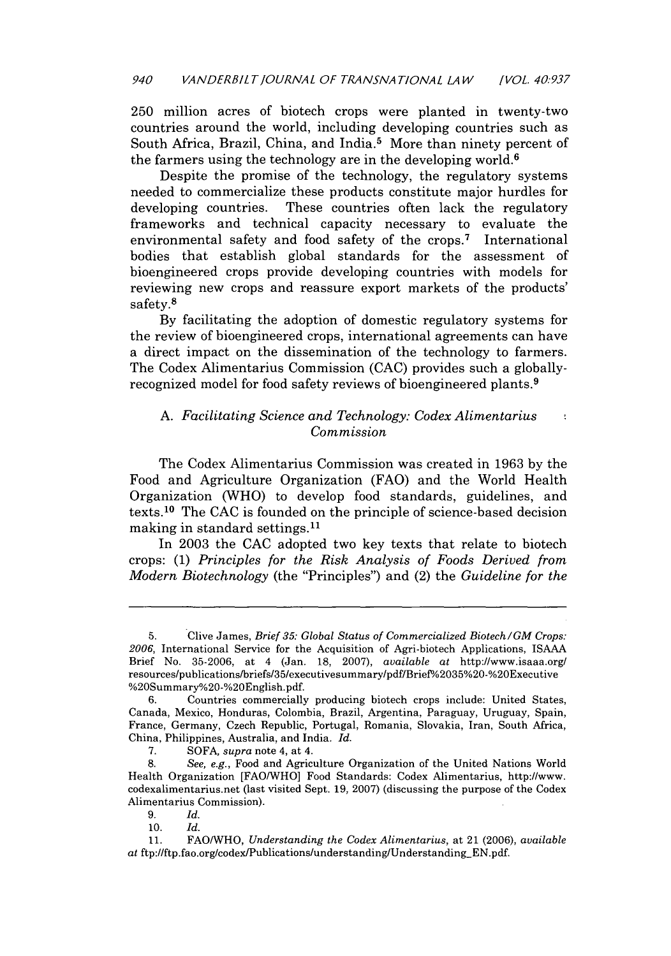250 million acres of biotech crops were planted in twenty-two countries around the world, including developing countries such as South Africa, Brazil, China, and India.<sup>5</sup> More than ninety percent of the farmers using the technology are in the developing world. $6$ 

Despite the promise of the technology, the regulatory systems needed to commercialize these products constitute major hurdles for developing countries. These countries often lack the regulatory frameworks and technical capacity necessary to evaluate the environmental safety and food safety of the crops.7 International bodies that establish global standards for the assessment of bioengineered crops provide developing countries with models for reviewing new crops and reassure export markets of the products' safety.8

By facilitating the adoption of domestic regulatory systems for the review of bioengineered crops, international agreements can have a direct impact on the dissemination of the technology to farmers. The Codex Alimentarius Commission (CAC) provides such a globallyrecognized model for food safety reviews of bioengineered plants.9

#### *A. Facilitating Science and Technology: Codex Alimentarius*  $\frac{1}{2}$ *Commission*

The Codex Alimentarius Commission was created in 1963 by the Food and Agriculture Organization (FAO) and the World Health Organization (WHO) to develop food standards, guidelines, and texts.10 The CAC is founded on the principle of science-based decision making in standard settings.1'

In 2003 the CAC adopted two key texts that relate to biotech crops: (1) *Principles for the Risk Analysis of Foods Derived from Modern Biotechnology* (the "Principles") and (2) the *Guideline for the*

<sup>5.</sup> Clive James, *Brief 35: Global Status of Commercialized Biotech/GM Crops: 2006,* International Service for the Acquisition of Agri-biotech Applications, ISAAA Brief No. 35-2006, at 4 (Jan. 18, 2007), *available at* http://www.isaaa.org/ resources/publications/briefs/35/executivesummary/pdf/Brief%2035%20-%20Executive %20Summary%20-%20English.pdf.

**<sup>6.</sup>** Countries commercially producing biotech crops include: United States, Canada, Mexico, Honduras, Colombia, Brazil, Argentina, Paraguay, Uruguay, Spain, France, Germany, Czech Republic, Portugal, Romania, Slovakia, Iran, South Africa, China, Philippines, Australia, and India. *Id.*

**<sup>7.</sup>** SOFA, *supra* note 4, at 4.

<sup>8.</sup> *See, e.g.,* Food and Agriculture Organization of the United Nations World Health Organization [FAO/WHO] Food Standards: Codex Alimentarius, http://www. codexalimentarius.net (last visited Sept. 19, 2007) (discussing the purpose of the Codex Alimentarius Commission).

<sup>9.</sup> *Id.*

<sup>10.</sup> *Id.*

<sup>11.</sup> FAO/WHO, *Understanding the Codex Alimentarius,* at 21 (2006), *available at* ftp:l/ftp.fao.org/codex/Publications/understanding/Understanding-EN.pdf.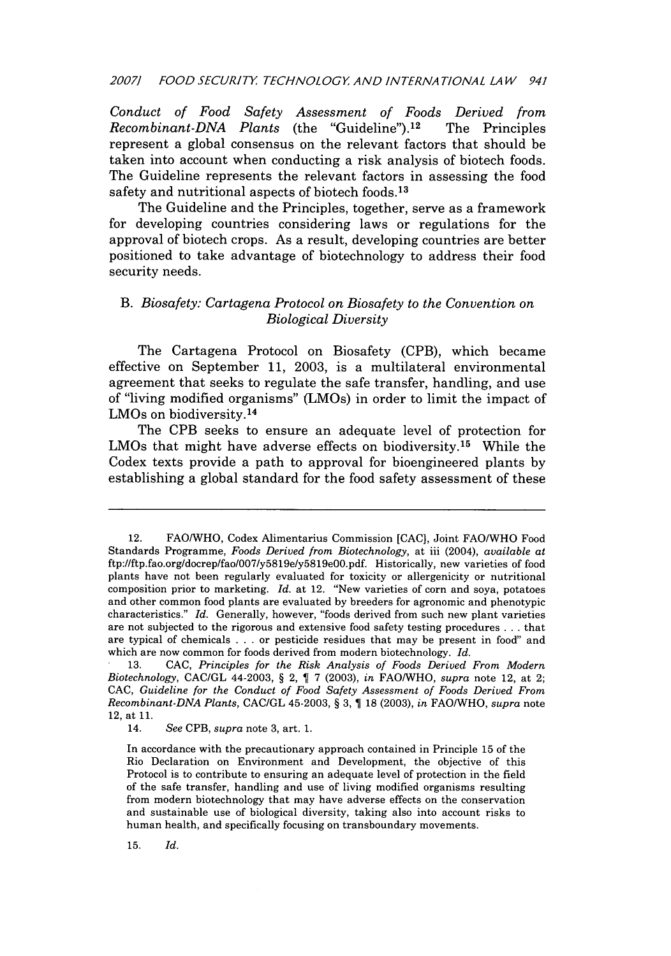## *20071 FOOD SECURITY TECHNOLOGY AND INTERNATIONAL LAW 941*

*Conduct of Food Safety Assessment of Foods Derived from Recombinant-DNA Plants* (the "Guideline"). 12 The Principles represent a global consensus on the relevant factors that should be taken into account when conducting a risk analysis of biotech foods. The Guideline represents the relevant factors in assessing the food safety and nutritional aspects of biotech foods. <sup>13</sup>

The Guideline and the Principles, together, serve as a framework for developing countries considering laws or regulations for the approval of biotech crops. As a result, developing countries are better positioned to take advantage of biotechnology to address their food security needs.

## *B. Biosafety: Cartagena Protocol on Biosafety to the Convention on Biological Diversity*

The Cartagena Protocol on Biosafety (CPB), which became effective on September **11, 2003,** is a multilateral environmental agreement that seeks to regulate the safe transfer, handling, and use of "living modified organisms" (LMOs) in order to limit the impact of LMOs on biodiversity. <sup>14</sup>

The CPB seeks to ensure an adequate level of protection for LMOs that might have adverse effects on biodiversity.<sup>15</sup> While the Codex texts provide a path to approval for bioengineered plants **by** establishing a global standard for the food safety assessment of these

**15.** *Id.*

<sup>12.</sup> FAOIWHO, Codex Alimentarius Commission **[CAC],** Joint FAO/WHO Food Standards Programme, *Foods Derived from Biotechnology,* at iii (2004), *available at* ftp://ftp.fao.org/docrep/fao/007/y5819e/y5819eOO.pdf. Historically, new varieties of food plants have not been regularly evaluated for toxicity or allergenicity or nutritional composition prior to marketing. *Id.* at 12. "New varieties of corn and soya, potatoes and other common food plants are evaluated **by** breeders for agronomic and phenotypic characteristics." *Id.* Generally, however, "foods derived from such new plant varieties are not subjected to the rigorous and extensive food safety testing procedures **. . .** that are typical of chemicals **. . .** or pesticide residues that may be present in food" and which are now common for foods derived from modern biotechnology. *Id.*

**<sup>13.</sup> CAC,** *Principles for the Risk Analysis of Foods Derived From Modern Biotechnology,* **CAC/GL** 44-2003, **§** 2, **7 (2003),** *in* **FAO/WHO,** *supra* note 12, at 2; **CAC,** *Guideline for the Conduct of Food Safety Assessment of Foods Derived From Recombinant-DNA Plants,* **CAC/GL** 45-2003, **§ 3, 1 18 (2003),** *in* **FAO/WHO,** *supra* note 12, at **11.**

<sup>14.</sup> *See* CPB, *supra* note **3,** art. **1.**

In accordance with the precautionary approach contained in Principle **15** of the Rio Declaration on Environment and Development, the objective of this Protocol is to contribute to ensuring an adequate level of protection in the field of the safe transfer, handling and use of living modified organisms resulting from modern biotechnology that may have adverse effects on the conservation and sustainable use of biological diversity, taking also into account risks to human health, and specifically focusing on transboundary movements.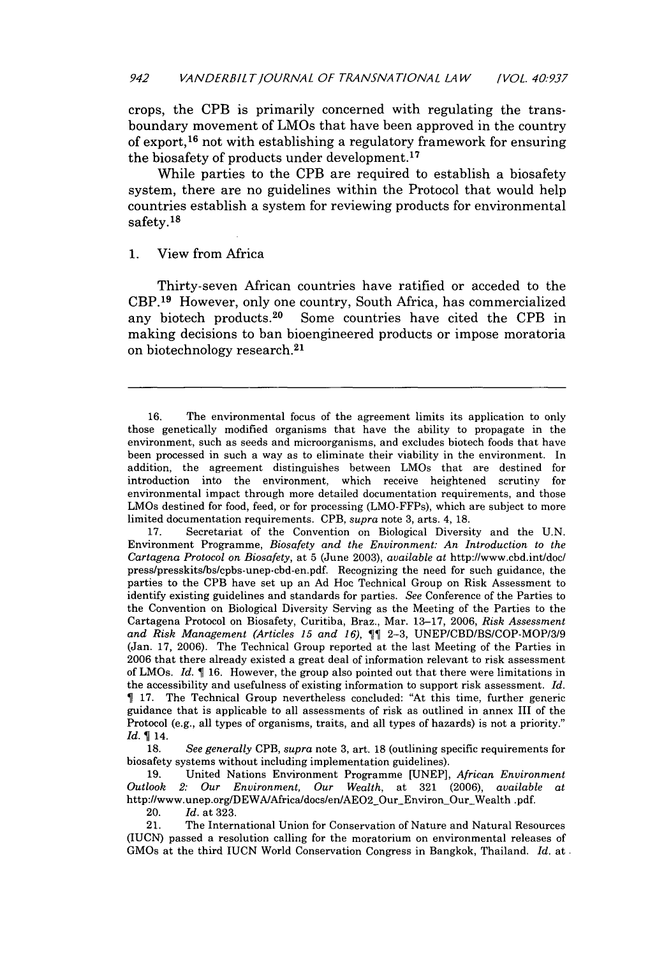crops, the CPB is primarily concerned with regulating the transboundary movement of LMOs that have been approved in the country of export,<sup>16</sup> not with establishing a regulatory framework for ensuring the biosafety of products under development. <sup>17</sup>

While parties to the CPB are required to establish a biosafety system, there are no guidelines within the Protocol that would help countries establish a system for reviewing products for environmental safety.<sup>18</sup>

## 1. View from Africa

Thirty-seven African countries have ratified or acceded to the CBP.<sup>19</sup> However, only one country, South Africa, has commercialized any biotech products.<sup>20</sup> Some countries have cited the CPB in Some countries have cited the CPB in making decisions to ban bioengineered products or impose moratoria on biotechnology research. <sup>21</sup>

20. *Id.* at 323.

21. The International Union for Conservation of Nature and Natural Resources (IUCN) passed a resolution calling for the moratorium on environmental releases of GMOs at the third IUCN World Conservation Congress in Bangkok, Thailand. *Id.* at

<sup>16.</sup> The environmental focus of the agreement limits its application to only those genetically modified organisms that have the ability to propagate in the environment, such as seeds and microorganisms, and excludes biotech foods that have been processed in such a way as to eliminate their viability in the environment. In addition, the agreement distinguishes between LMOs that are destined for introduction into the environment, which receive heightened scrutiny for environmental impact through more detailed documentation requirements, and those LMOs destined for food, feed, or for processing (LMO-FFPs), which are subject to more limited documentation requirements. CPB, *supra* note 3, arts. 4, 18.

<sup>17.</sup> Secretariat of the Convention on Biological Diversity and the U.N. Environment Programme, *Biosafety and the Environment: An Introduction to the Cartagena Protocol on Biosafety,* at 5 (June 2003), *available* at http://www.cbd.int/doc/ press/presskits/bs/cpbs-unep-cbd-en.pdf. Recognizing the need for such guidance, the parties to the CPB have set up an Ad Hoc Technical Group on Risk Assessment to identify existing guidelines and standards for parties. *See* Conference of the Parties to the Convention on Biological Diversity Serving as the Meeting of the Parties to the Cartagena Protocol on Biosafety, Curitiba, Braz., Mar. 13-17, 2006, *Risk Assessment and Risk Management (Articles 15 and 16),* 2-3, UNEP/CBD/BS/COP-MOP/3/9 (Jan. 17, 2006). The Technical Group reported at the last Meeting of the Parties in 2006 that there already existed a great deal of information relevant to risk assessment of LMOs. *Id.* 16. However, the group also pointed out that there were limitations in the accessibility and usefulness of existing information to support risk assessment. *Id.* 17. The Technical Group nevertheless concluded: "At this time, further generic guidance that is applicable to all assessments of risk as outlined in annex III of the Protocol (e.g., all types of organisms, traits, and all types of hazards) is not a priority." *Id.* 14.

<sup>18.</sup> *See generally* CPB, *supra* note 3, art. 18 (outlining specific requirements for biosafety systems without including implementation guidelines).

<sup>19.</sup> United Nations Environment Programme [UNEP], *African Environment Outlook 2: Our Environment, Our Wealth*, at 321 (2006), *available* http://www.unep.org/DEWA/Africa/docs/en/AEO2\_Our\_Environ\_Our\_Wealth .pdf.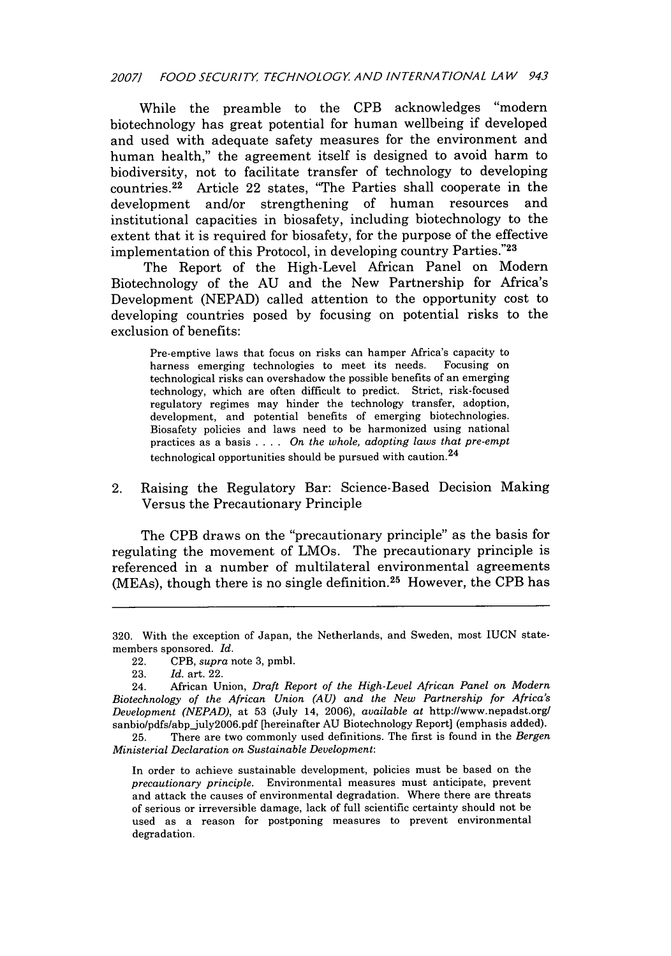## *20071 FOOD SECURITY TECHNOLOGY AND INTERNATIONAL LAW 943*

While the preamble to the CPB acknowledges "modern biotechnology has great potential for human wellbeing if developed and used with adequate safety measures for the environment and human health," the agreement itself is designed to avoid harm to biodiversity, not to facilitate transfer of technology to developing countries. 22 Article 22 states, "The Parties shall cooperate in the development and/or strengthening of human resources and institutional capacities in biosafety, including biotechnology to the extent that it is required for biosafety, for the purpose of the effective implementation of this Protocol, in developing country Parties."23

The Report of the High-Level African Panel on Modern Biotechnology of the AU and the New Partnership for Africa's Development (NEPAD) called attention to the opportunity cost to developing countries posed by focusing on potential risks to the exclusion of benefits:

Pre-emptive laws that focus on risks can hamper Africa's capacity to harness emerging technologies to meet its needs. Focusing on technological risks can overshadow the possible benefits of an emerging technology, which are often difficult to predict. Strict, risk-focused regulatory regimes may hinder the technology transfer, adoption, development, and potential benefits of emerging biotechnologies. Biosafety policies and laws need to be harmonized using national practices as a basis .... *On the whole, adopting laws that pre-empt* technological opportunities should be pursued with caution. $^{24}$ 

## 2. Raising the Regulatory Bar: Science-Based Decision Making Versus the Precautionary Principle

The CPB draws on the "precautionary principle" as the basis for regulating the movement of LMOs. The precautionary principle is referenced in a number of multilateral environmental agreements (MEAs), though there is no single definition.<sup>25</sup> However, the CPB has

<sup>320.</sup> With the exception of Japan, the Netherlands, and Sweden, most IUCN statemembers sponsored. *Id.*

<sup>22.</sup> CPB, *supra* note 3, pmbl.

<sup>23.</sup> *Id.* art. 22.

<sup>24.</sup> African Union, *Draft Report of the High-Level African Panel on Modern Biotechnology of the African Union (AU) and the New Partnership for Africa's Development (NEPAD),* at 53 (July 14, 2006), *available at* http://www.nepadst.org sanbio/pdfs/abp\_july2006.pdf [hereinafter AU Biotechnology Report] (emphasis added).

<sup>25.</sup> There are two commonly used definitions. The first is found in the *Bergen Ministerial Declaration on Sustainable Development:*

In order to achieve sustainable development, policies must be based on the *precautionary principle.* Environmental measures must anticipate, prevent and attack the causes of environmental degradation. Where there are threats of serious or irreversible damage, lack of full scientific certainty should not be used as a reason for postponing measures to prevent environmental degradation.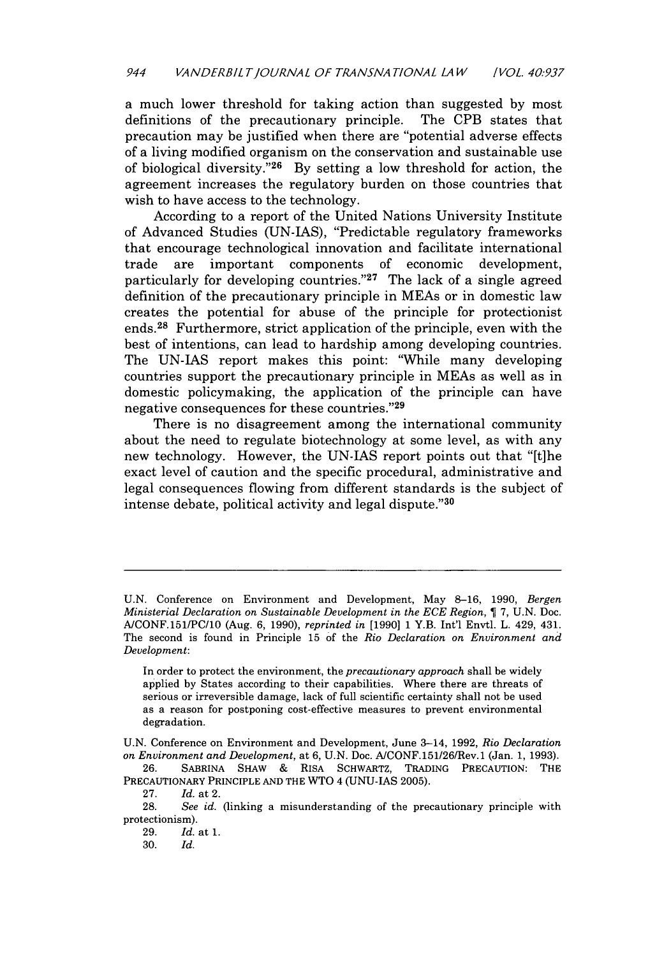a much lower threshold for taking action than suggested by most definitions of the precautionary principle. The CPB states that precaution may be justified when there are "potential adverse effects of a living modified organism on the conservation and sustainable use of biological diversity."<sup>26</sup> By setting a low threshold for action, the agreement increases the regulatory burden on those countries that wish to have access to the technology.

According to a report of the United Nations University Institute of Advanced Studies (UN-IAS), "Predictable regulatory frameworks that encourage technological innovation and facilitate international trade are important components of economic development, particularly for developing countries."<sup>27</sup> The lack of a single agreed definition of the precautionary principle in MEAs or in domestic law creates the potential for abuse of the principle for protectionist ends.28 Furthermore, strict application of the principle, even with the best of intentions, can lead to hardship among developing countries. The UN-IAS report makes this point: "While many developing countries support the precautionary principle in MEAs as well as in domestic policymaking, the application of the principle can have negative consequences for these countries. '29

There is no disagreement among the international community about the need to regulate biotechnology at some level, as with any new technology. However, the UN-IAS report points out that "[t]he exact level of caution and the specific procedural, administrative and legal consequences flowing from different standards is the subject of intense debate, political activity and legal dispute."30

26. SABRINA SHAW & RIsA SCHWARTZ, TRADING PRECAUTION: THE PRECAUTIONARY PRINCIPLE **AND** THE WTO 4 (UNU-IAS 2005).

29. *Id.* at 1.

**30.** *Id.*

U.N. Conference on Environment and Development, May 8-16, 1990, *Bergen Ministerial Declaration on Sustainable Development in the ECE Region,* 7, U.N. Doc. A/CONF.151/PC/10 (Aug. 6, 1990), *reprinted in* [1990] 1 Y.B. Int'l Envtl. L. 429, 431. The second is found in Principle 15 of the *Rio Declaration on Environment and Development:*

In order to protect the environment, the *precautionary approach* shall be widely applied by States according to their capabilities. Where there are threats of serious or irreversible damage, lack of full scientific certainty shall not be used as a reason for postponing cost-effective measures to prevent environmental degradation.

U.N. Conference on Environment and Development, June 3-14, 1992, *Rio Declaration on Environment and Development,* at 6, U.N. Doc. AICONF.151/26Rev.1 (Jan. 1, 1993).

**<sup>27.</sup>** *Id.* at 2.

**<sup>28.</sup>** *See id.* (linking a misunderstanding of the precautionary principle with protectionism).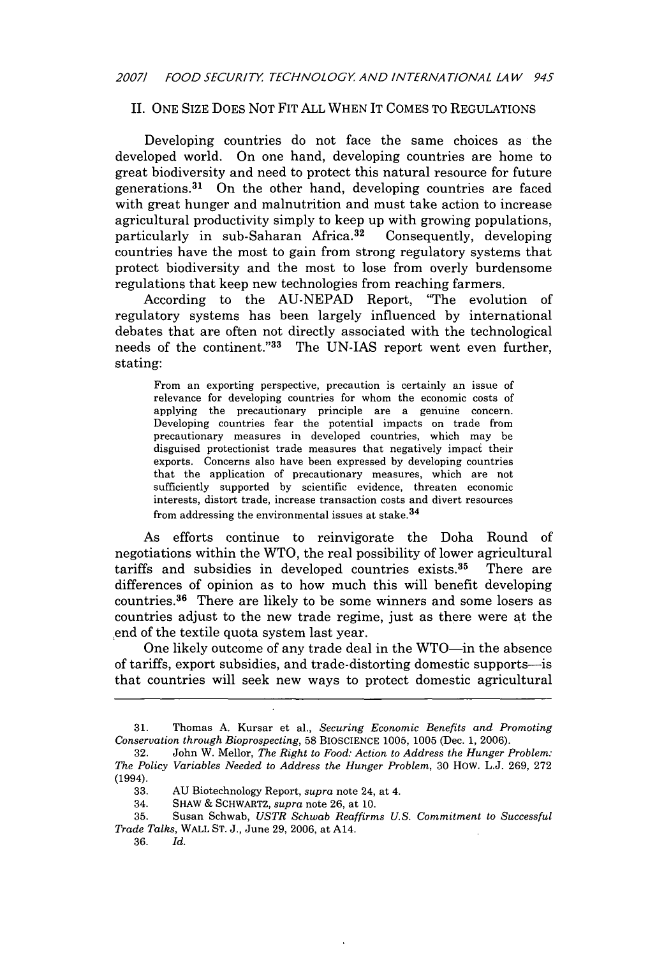## II. ONE SIZE DOES NOT FIT ALL WHEN IT COMES TO REGULATIONS

Developing countries do not face the same choices as the developed world. On one hand, developing countries are home to great biodiversity and need to protect this natural resource for future generations.<sup>31</sup> On the other hand, developing countries are faced with great hunger and malnutrition and must take action to increase agricultural productivity simply to keep up with growing populations, particularly in sub-Saharan Africa.<sup>32</sup> Consequently, developing countries have the most to gain from strong regulatory systems that protect biodiversity and the most to lose from overly burdensome regulations that keep new technologies from reaching farmers.

According to the AU-NEPAD Report, "The evolution of regulatory systems has been largely influenced by international debates that are often not directly associated with the technological needs of the continent."33 The UN-IAS report went even further, stating:

From an exporting perspective, precaution is certainly an issue of relevance for developing countries for whom the economic costs of applying the precautionary principle are a genuine concern. Developing countries fear the potential impacts on trade from precautionary measures in developed countries, which may be disguised protectionist trade measures that negatively impact their exports. Concerns also have been expressed by developing countries that the application of precautionary measures, which are not sufficiently supported by scientific evidence, threaten economic interests, distort trade, increase transaction costs and divert resources from addressing the environmental issues at stake. $34$ 

As efforts continue to reinvigorate the Doha Round of negotiations within the WTO, the real possibility of lower agricultural tariffs and subsidies in developed countries exists. 35 There are differences of opinion as to how much this will benefit developing countries.<sup>36</sup> There are likely to be some winners and some losers as countries adjust to the new trade regime, just as there were at the end of the textile quota system last year.

One likely outcome of any trade deal in the WTO-in the absence of tariffs, export subsidies, and trade-distorting domestic supports-is that countries will seek new ways to protect domestic agricultural

<sup>31.</sup> Thomas A. Kursar et al., *Securing Economic Benefits and Promoting Conservation through Bioprospecting,* 58 BIOSCIENCE 1005, 1005 (Dec. 1, 2006).

<sup>32.</sup> John W. Mellor, *The Right to Food: Action to Address the Hunger Problem: The Policy Variables Needed to Address the Hunger Problem,* 30 HOw. L.J. 269, 272 (1994).

<sup>33.</sup> AU Biotechnology Report, *supra* note 24, at 4.

<sup>34.</sup> SHAW & SCHWARTZ, *supra* note 26, at 10.

<sup>35.</sup> Susan Schwab, *USTR Schwab Reaffirms U.S. Commitment to Successful Trade Talks,* WALL ST. J., June 29, 2006, at A14.

<sup>36.</sup> *Id.*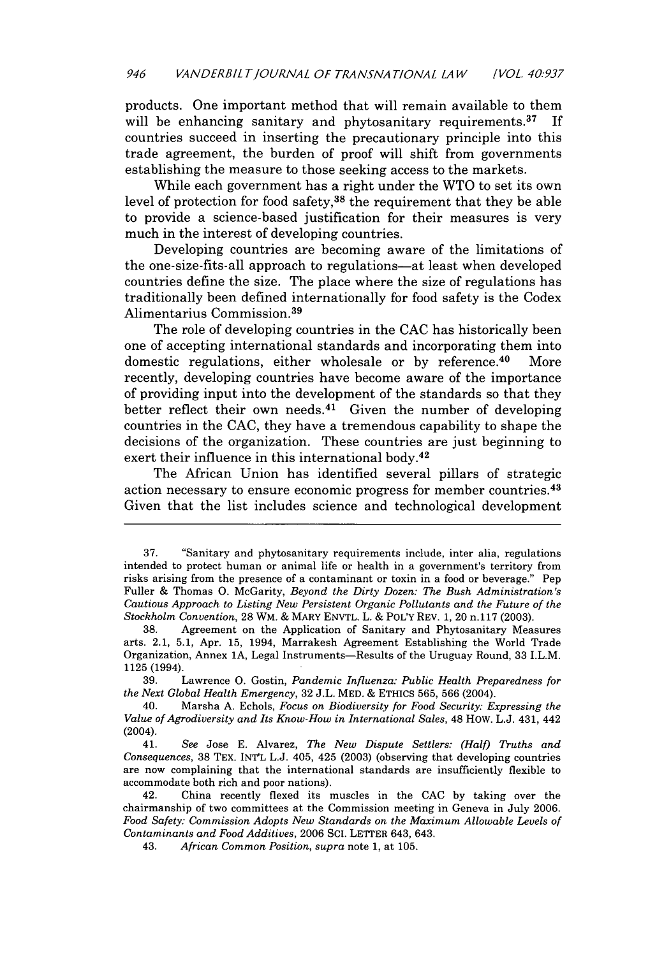products. One important method that will remain available to them will be enhancing sanitary and phytosanitary requirements.<sup>37</sup> If countries succeed in inserting the precautionary principle into this trade agreement, the burden of proof will shift from governments establishing the measure to those seeking access to the markets.

While each government has a right under the WTO to set its own level of protection for food safety,38 the requirement that they be able to provide a science-based justification for their measures is very much in the interest of developing countries.

Developing countries are becoming aware of the limitations of the one-size-fits-all approach to regulations-at least when developed countries define the size. The place where the size of regulations has traditionally been defined internationally for food safety is the Codex Alimentarius Commission. <sup>39</sup>

The role of developing countries in the **CAC** has historically been one of accepting international standards and incorporating them into domestic regulations, either wholesale or **by** reference.40 More recently, developing countries have become aware of the importance of providing input into the development of the standards so that they better reflect their own needs.<sup>41</sup> Given the number of developing countries in the **CAC,** they have a tremendous capability to shape the decisions of the organization. These countries are just beginning to exert their influence in this international body.<sup>42</sup>

The African Union has identified several pillars of strategic action necessary to ensure economic progress for member countries. <sup>43</sup> Given that the list includes science and technological development

**<sup>37.</sup>** "Sanitary and phytosanitary requirements include, inter alia, regulations intended to protect human or animal life or health in a government's territory from risks arising from the presence of a contaminant or toxin in a food or beverage." Pep Fuller **&** Thomas **0.** McGarity, *Beyond the Dirty Dozen: The Bush Administration's Cautious Approach to Listing New Persistent Organic Pollutants and the Future of the Stockholm Convention,* **28** WM. **&** MARY **ENVTL.** L. **&** POLY REV. **1,** 20 n.117 **(2003).**

**<sup>38.</sup>** Agreement on the Application of Sanitary and Phytosanitary Measures arts. 2.1, **5.1,** Apr. **15,** 1994, Marrakesh Agreement Establishing the World Trade Organization, Annex **1A,** Legal Instruments-Results of the Uruguay Round, **33** I.L.M. **1125** (1994).

**<sup>39.</sup>** Lawrence **0.** Gostin, *Pandemic Influenza: Public Health Preparedness for the Next Global Health Emergency,* **32 J.L.** MED. **& ETHICS 565, 566** (2004).

<sup>40.</sup> Marsha **A.** Echols, *Focus on Biodiversity for Food Security: Expressing the Value of Agrodiversity and Its Know-How in International Sales,* 48 HOW. **L.J.** 431, 442 (2004).

<sup>41.</sup> *See* Jose **E.** Alvarez, *The New Dispute Settlers: (Half) Truths and Consequences,* **38** TEX. **INT'L L.J.** 405, 425 **(2003)** (observing that developing countries are now complaining that the international standards are insufficiently flexible to accommodate both rich and poor nations).

<sup>42.</sup> China recently flexed its muscles in the **CAC by** taking over the chairmanship of two committees at the Commission meeting in Geneva in July **2006.** *Food Safety: Commission Adopts New Standards on the Maximum Allowable Levels of Contaminants and Food Additives,* **2006 SCI.** LETTER 643, 643.

<sup>43.</sup> *African Common Position, supra* note **1,** at **105.**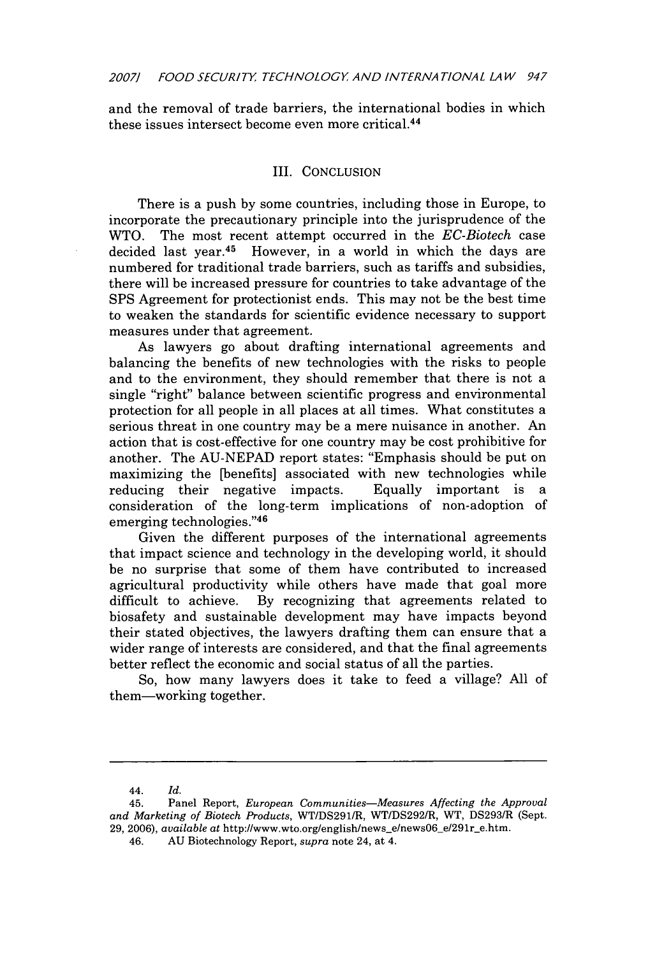and the removal of trade barriers, the international bodies in which these issues intersect become even more critical.44

## III. CONCLUSION

There is a push by some countries, including those in Europe, to incorporate the precautionary principle into the jurisprudence of the WTO. The most recent attempt occurred in the *EC-Biotech* case decided last year.45 However, in a world in which the days are numbered for traditional trade barriers, such as tariffs and subsidies, there will be increased pressure for countries to take advantage of the SPS Agreement for protectionist ends. This may not be the best time to weaken the standards for scientific evidence necessary to support measures under that agreement.

As lawyers go about drafting international agreements and balancing the benefits of new technologies with the risks to people and to the environment, they should remember that there is not a single "right" balance between scientific progress and environmental protection for all people in all places at all times. What constitutes a serious threat in one country may be a mere nuisance in another. An action that is cost-effective for one country may be cost prohibitive for another. The AU-NEPAD report states: "Emphasis should be put on maximizing the [benefits] associated with new technologies while reducing their negative impacts. Equally important is a consideration of the long-term implications of non-adoption of emerging technologies."46

Given the different purposes of the international agreements that impact science and technology in the developing world, it should be no surprise that some of them have contributed to increased agricultural productivity while others have made that goal more difficult to achieve. By recognizing that agreements related to biosafety and sustainable development may have impacts beyond their stated objectives, the lawyers drafting them can ensure that a wider range of interests are considered, and that the final agreements better reflect the economic and social status of all the parties.

So, how many lawyers does it take to feed a village? All of them-working together.

<sup>44.</sup> *Id.*

<sup>45.</sup> Panel Report, *European Communities-Measures Affecting the Approval* and Marketing of Biotech Products, WT/DS291/R, WT/DS292/R, WT, DS293/R (Sept. 29, 2006), *available at http://www.wto.org/english/news\_e/news06\_e/291r\_e.htm.* 

<sup>46.</sup> AU Biotechnology Report, *supra* note 24, at 4.